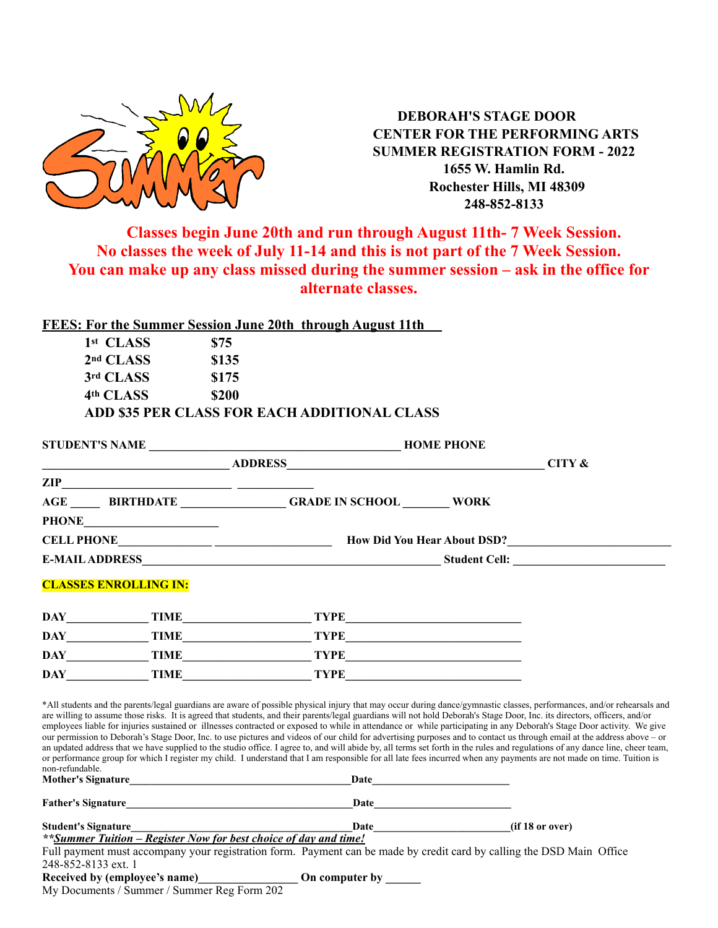

 **DEBORAH'S STAGE DOOR CENTER FOR THE PERFORMING ARTS SUMMER REGISTRATION FORM - 2022 1655 W. Hamlin Rd. Rochester Hills, MI 48309 248-852-8133**

### **Classes begin June 20th and run through August 11th- 7 Week Session. No classes the week of July 11-14 and this is not part of the 7 Week Session. You can make up any class missed during the summer session – ask in the office for alternate classes.**

| FEES: For the Summer Session June 20th through August 11th |       |  |
|------------------------------------------------------------|-------|--|
| 1 <sup>st</sup> CLASS                                      | \$75  |  |
| 2 <sup>nd</sup> CLASS                                      | \$135 |  |
| 3rd CLASS                                                  | \$175 |  |
| 4th CLASS                                                  | 9200  |  |

| 54W |                                              |
|-----|----------------------------------------------|
|     | ADD \$35 PER CLASS FOR EACH ADDITIONAL CLASS |

|                     |                                                               | <b>HOME PHONE</b>                                                |                                                                                                                                                                                                                                                                                                                                                                                                                                                                                                                                                                                                                                                                                                                                                                                                                                                                                                                                                                                                                                                                                           |  |
|---------------------|---------------------------------------------------------------|------------------------------------------------------------------|-------------------------------------------------------------------------------------------------------------------------------------------------------------------------------------------------------------------------------------------------------------------------------------------------------------------------------------------------------------------------------------------------------------------------------------------------------------------------------------------------------------------------------------------------------------------------------------------------------------------------------------------------------------------------------------------------------------------------------------------------------------------------------------------------------------------------------------------------------------------------------------------------------------------------------------------------------------------------------------------------------------------------------------------------------------------------------------------|--|
|                     | <u> 1989 - Johann Barn, fransk politik formuler (d. 1989)</u> |                                                                  | CITY $\&$                                                                                                                                                                                                                                                                                                                                                                                                                                                                                                                                                                                                                                                                                                                                                                                                                                                                                                                                                                                                                                                                                 |  |
|                     |                                                               |                                                                  |                                                                                                                                                                                                                                                                                                                                                                                                                                                                                                                                                                                                                                                                                                                                                                                                                                                                                                                                                                                                                                                                                           |  |
|                     |                                                               | AGE BIRTHDATE GRADE IN SCHOOL WORK                               |                                                                                                                                                                                                                                                                                                                                                                                                                                                                                                                                                                                                                                                                                                                                                                                                                                                                                                                                                                                                                                                                                           |  |
|                     |                                                               |                                                                  |                                                                                                                                                                                                                                                                                                                                                                                                                                                                                                                                                                                                                                                                                                                                                                                                                                                                                                                                                                                                                                                                                           |  |
|                     |                                                               |                                                                  |                                                                                                                                                                                                                                                                                                                                                                                                                                                                                                                                                                                                                                                                                                                                                                                                                                                                                                                                                                                                                                                                                           |  |
|                     |                                                               |                                                                  |                                                                                                                                                                                                                                                                                                                                                                                                                                                                                                                                                                                                                                                                                                                                                                                                                                                                                                                                                                                                                                                                                           |  |
|                     | <b>CLASSES ENROLLING IN:</b>                                  |                                                                  |                                                                                                                                                                                                                                                                                                                                                                                                                                                                                                                                                                                                                                                                                                                                                                                                                                                                                                                                                                                                                                                                                           |  |
|                     |                                                               |                                                                  |                                                                                                                                                                                                                                                                                                                                                                                                                                                                                                                                                                                                                                                                                                                                                                                                                                                                                                                                                                                                                                                                                           |  |
|                     | DAY TIME                                                      |                                                                  |                                                                                                                                                                                                                                                                                                                                                                                                                                                                                                                                                                                                                                                                                                                                                                                                                                                                                                                                                                                                                                                                                           |  |
|                     | DAY TIME                                                      |                                                                  | $\begin{tabular}{c} TYPE \end{tabular}$                                                                                                                                                                                                                                                                                                                                                                                                                                                                                                                                                                                                                                                                                                                                                                                                                                                                                                                                                                                                                                                   |  |
| <b>DAY</b>          | TIME                                                          |                                                                  |                                                                                                                                                                                                                                                                                                                                                                                                                                                                                                                                                                                                                                                                                                                                                                                                                                                                                                                                                                                                                                                                                           |  |
| non-refundable.     | Mother's Signature                                            |                                                                  | *All students and the parents/legal guardians are aware of possible physical injury that may occur during dance/gymnastic classes, performances, and/or rehearsals and<br>are willing to assume those risks. It is agreed that students, and their parents/legal guardians will not hold Deborah's Stage Door, Inc. its directors, officers, and/or<br>employees liable for injuries sustained or illnesses contracted or exposed to while in attendance or while participating in any Deborah's Stage Door activity. We give<br>our permission to Deborah's Stage Door, Inc. to use pictures and videos of our child for advertising purposes and to contact us through email at the address above - or<br>an updated address that we have supplied to the studio office. I agree to, and will abide by, all terms set forth in the rules and regulations of any dance line, cheer team,<br>or performance group for which I register my child. I understand that I am responsible for all late fees incurred when any payments are not made on time. Tuition is<br>Date $\qquad \qquad$ |  |
|                     | Father's Signature                                            |                                                                  |                                                                                                                                                                                                                                                                                                                                                                                                                                                                                                                                                                                                                                                                                                                                                                                                                                                                                                                                                                                                                                                                                           |  |
| Student's Signature |                                                               | **Summer Tuition – Register Now for best choice of day and time! | Date and the second state of the second state and state and state of the second state and state and state and state and state and state and state and state and state and state and state and state and state and state and st<br>(if 18 or over)                                                                                                                                                                                                                                                                                                                                                                                                                                                                                                                                                                                                                                                                                                                                                                                                                                         |  |
|                     |                                                               |                                                                  |                                                                                                                                                                                                                                                                                                                                                                                                                                                                                                                                                                                                                                                                                                                                                                                                                                                                                                                                                                                                                                                                                           |  |

Full payment must accompany your registration form. Payment can be made by credit card by calling the DSD Main Office 248-852-8133 ext. 1

**Received by (employee's name)\_\_\_\_\_\_\_\_\_\_\_\_\_\_\_\_\_ On computer by \_\_\_\_\_\_**

|  | Received by (employee's name) |  |
|--|-------------------------------|--|
|--|-------------------------------|--|

My Documents / Summer / Summer Reg Form 202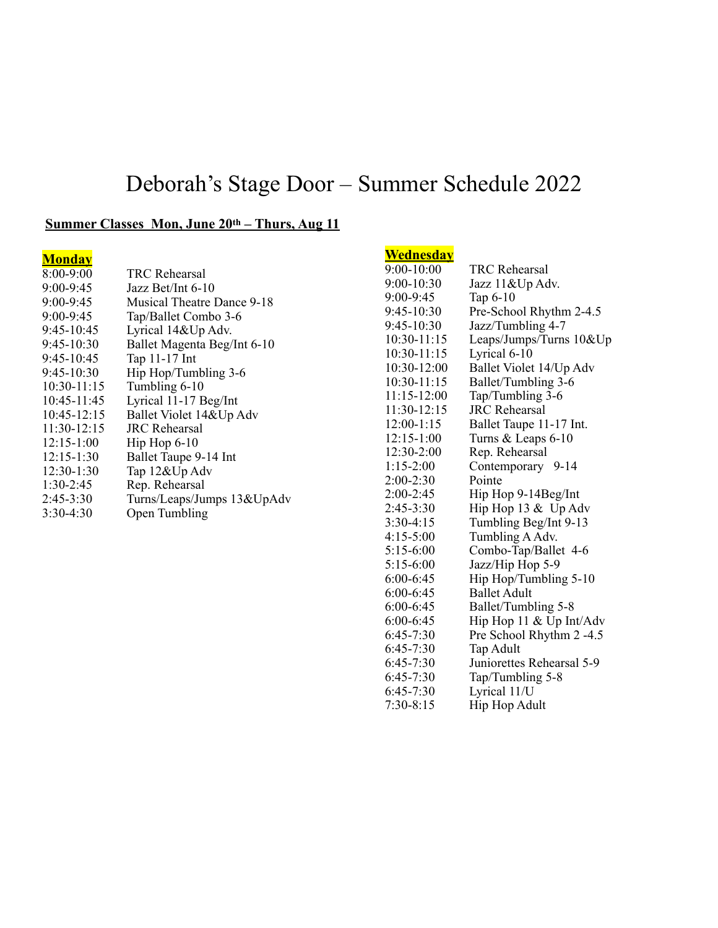# Deborah's Stage Door – Summer Schedule 2022

5:15-6:00 Jazz/Hip Hop 5-9

6:00-6:45 Hip Hop/Tumbling 5-10<br>6:00-6:45 Ballet Adult Ballet Adult

6:45-7:30 Pre School Rhythm 2 -4.5<br>6:45-7:30 Tap Adult Tap Adult 6:45-7:30 Juniorettes Rehearsal 5-9<br>6:45-7:30 Tap/Tumbling 5-8 6:45-7:30 Tap/Tumbling 5-8<br>6:45-7:30 Lyrical 11/U

Lyrical 11/U

Hip Hop 11  $&$  Up Int/Adv

6:00-6:45 Ballet/Tumbling 5-8<br>6:00-6:45 Hip Hop 11 & Up In

 $7:30-8:15$  Hip Hop Adult

#### **Summer Classes Mon, June 20th – Thurs, Aug 11**

| <b>Monday</b>   |                             | Wednesday       |                              |
|-----------------|-----------------------------|-----------------|------------------------------|
| 8:00-9:00       | TRC Rehearsal               | $9:00-10:00$    | TRC Rehearsal                |
| 9:00-9:45       | Jazz Bet/Int 6-10           | $9:00 - 10:30$  | Jazz 11&Up Adv.              |
| $9:00 - 9:45$   | Musical Theatre Dance 9-18  | $9:00 - 9:45$   | Tap $6-10$                   |
| $9:00 - 9:45$   | Tap/Ballet Combo 3-6        | $9:45-10:30$    | Pre-School Rhythm 2-4.5      |
| $9:45-10:45$    | Lyrical 14&Up Adv.          | $9:45-10:30$    | Jazz/Tumbling 4-7            |
| $9:45-10:30$    | Ballet Magenta Beg/Int 6-10 | $10:30-11:15$   | Leaps/Jumps/Turns 10&Up      |
| $9:45-10:45$    | Tap 11-17 Int               | $10:30-11:15$   | Lyrical 6-10                 |
| $9:45-10:30$    | Hip Hop/Tumbling 3-6        | $10:30-12:00$   | Ballet Violet 14/Up Adv      |
| $10:30-11:15$   | Tumbling 6-10               | $10:30-11:15$   | Ballet/Tumbling 3-6          |
| 10:45-11:45     | Lyrical 11-17 Beg/Int       | $11:15 - 12:00$ | Tap/Tumbling 3-6             |
| $10:45 - 12:15$ | Ballet Violet 14&Up Adv     | $11:30-12:15$   | <b>JRC</b> Rehearsal         |
| $11:30-12:15$   | <b>JRC</b> Rehearsal        | $12:00-1:15$    | Ballet Taupe 11-17 Int.      |
| $12:15-1:00$    | $\text{Hip}$ Hop 6-10       | $12:15-1:00$    | Turns & Leaps 6-10           |
| $12:15-1:30$    | Ballet Taupe 9-14 Int       | $12:30-2:00$    | Rep. Rehearsal               |
| $12:30-1:30$    | Tap 12&Up Adv               | $1:15-2:00$     | Contemporary 9-14            |
| $1:30-2:45$     | Rep. Rehearsal              | $2:00-2:30$     | Pointe                       |
| $2:45-3:30$     | Turns/Leaps/Jumps 13&UpAdv  | $2:00-2:45$     | Hip Hop 9-14Beg/Int          |
| $3:30-4:30$     | Open Tumbling               | $2:45-3:30$     | Hip Hop $13 & \text{Up}$ Adv |
|                 |                             | $3:30-4:15$     | Tumbling Beg/Int 9-13        |
|                 |                             | $4:15-5:00$     | Tumbling A Adv.              |
|                 |                             | $5:15-6:00$     | Combo-Tap/Ballet 4-6         |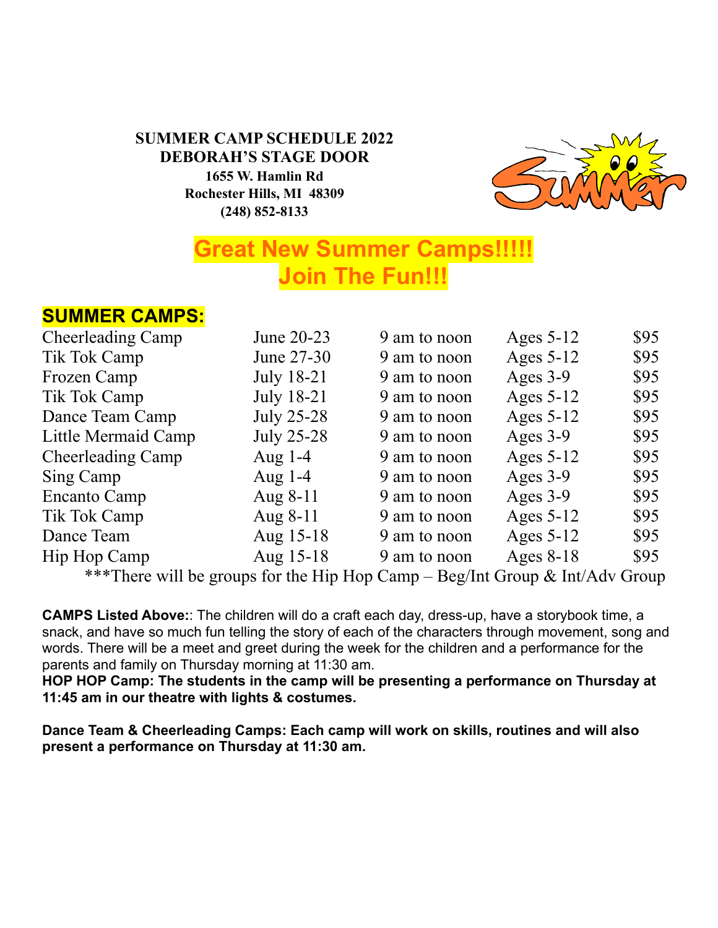### **SUMMER CAMP SCHEDULE 2022 DEBORAH'S STAGE DOOR 1655 W. Hamlin Rd Rochester Hills, MI 48309 (248) 852-8133**



# **Great New Summer Camps!!!!! Join The Fun!!!**

## **SUMMER CAMPS:**

| <b>Cheerleading Camp</b> | June 20-23        | 9 am to noon | Ages 5-12   | \$95 |
|--------------------------|-------------------|--------------|-------------|------|
| Tik Tok Camp             | June 27-30        | 9 am to noon | Ages $5-12$ | \$95 |
| Frozen Camp              | July 18-21        | 9 am to noon | Ages 3-9    | \$95 |
| Tik Tok Camp             | <b>July 18-21</b> | 9 am to noon | Ages $5-12$ | \$95 |
| Dance Team Camp          | July 25-28        | 9 am to noon | Ages $5-12$ | \$95 |
| Little Mermaid Camp      | July 25-28        | 9 am to noon | Ages $3-9$  | \$95 |
| <b>Cheerleading Camp</b> | Aug $1-4$         | 9 am to noon | Ages $5-12$ | \$95 |
| Sing Camp                | Aug $1-4$         | 9 am to noon | Ages $3-9$  | \$95 |
| Encanto Camp             | Aug 8-11          | 9 am to noon | Ages $3-9$  | \$95 |
| Tik Tok Camp             | Aug 8-11          | 9 am to noon | Ages $5-12$ | \$95 |
| Dance Team               | Aug 15-18         | 9 am to noon | Ages $5-12$ | \$95 |
| Hip Hop Camp             | Aug 15-18         | 9 am to noon | Ages $8-18$ | \$95 |
|                          |                   |              |             |      |

\*\*\*There will be groups for the Hip Hop Camp – Beg/Int Group & Int/Adv Group

**CAMPS Listed Above:**: The children will do a craft each day, dress-up, have a storybook time, a snack, and have so much fun telling the story of each of the characters through movement, song and words. There will be a meet and greet during the week for the children and a performance for the parents and family on Thursday morning at 11:30 am.

**HOP HOP Camp: The students in the camp will be presenting a performance on Thursday at 11:45 am in our theatre with lights & costumes.** 

**Dance Team & Cheerleading Camps: Each camp will work on skills, routines and will also present a performance on Thursday at 11:30 am.**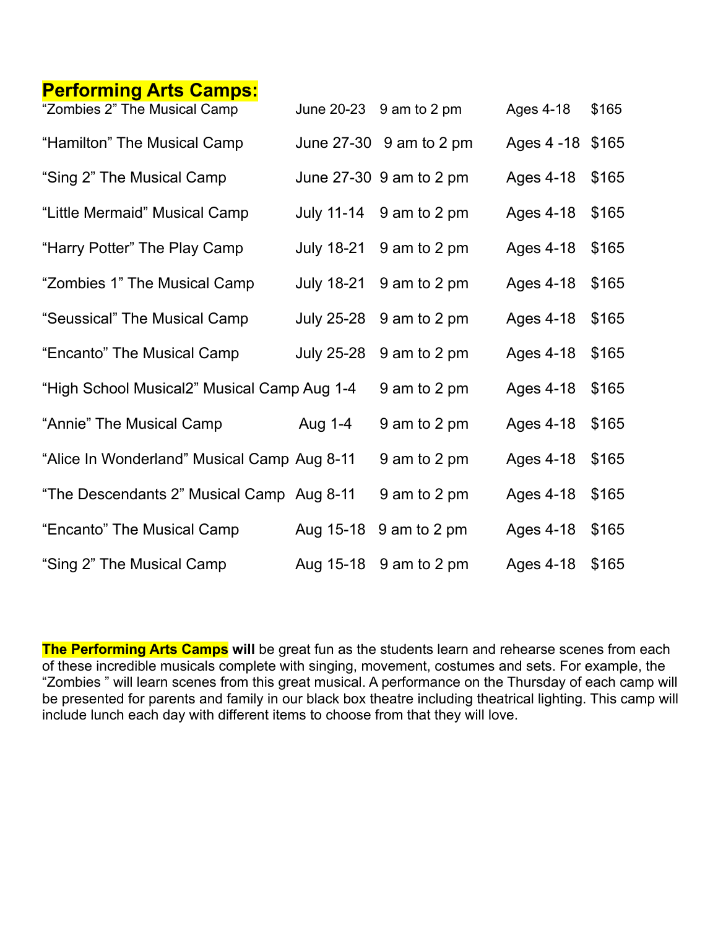## **Performing Arts Camps:**

| "Zombies 2" The Musical Camp                |         | June $20-23$ 9 am to 2 pm | Ages 4-18         | \$165 |
|---------------------------------------------|---------|---------------------------|-------------------|-------|
| "Hamilton" The Musical Camp                 |         | June $27-30$ 9 am to 2 pm | Ages 4 - 18 \$165 |       |
| "Sing 2" The Musical Camp                   |         | June 27-30 9 am to 2 pm   | Ages 4-18         | \$165 |
| "Little Mermaid" Musical Camp               |         | July 11-14 9 am to 2 pm   | Ages 4-18         | \$165 |
| "Harry Potter" The Play Camp                |         | July $18-21$ 9 am to 2 pm | Ages 4-18         | \$165 |
| "Zombies 1" The Musical Camp                |         | July $18-21$ 9 am to 2 pm | Ages 4-18         | \$165 |
| "Seussical" The Musical Camp                |         | July 25-28 9 am to 2 pm   | Ages 4-18         | \$165 |
| "Encanto" The Musical Camp                  |         | July 25-28 9 am to 2 pm   | Ages 4-18         | \$165 |
| "High School Musical2" Musical Camp Aug 1-4 |         | 9 am to 2 pm              | Ages 4-18         | \$165 |
| "Annie" The Musical Camp                    | Aug 1-4 | 9 am to 2 pm              | Ages 4-18         | \$165 |
| "Alice In Wonderland" Musical Camp Aug 8-11 |         | 9 am to 2 pm              | Ages 4-18         | \$165 |
| "The Descendants 2" Musical Camp Aug 8-11   |         | 9 am to 2 pm              | Ages 4-18         | \$165 |
| "Encanto" The Musical Camp                  |         | Aug 15-18 9 am to 2 pm    | Ages 4-18         | \$165 |
| "Sing 2" The Musical Camp                   |         | Aug 15-18 9 am to 2 pm    | Ages 4-18         | \$165 |

The Performing Arts Camps will be great fun as the students learn and rehearse scenes from each of these incredible musicals complete with singing, movement, costumes and sets. For example, the "Zombies " will learn scenes from this great musical. A performance on the Thursday of each camp will be presented for parents and family in our black box theatre including theatrical lighting. This camp will include lunch each day with different items to choose from that they will love.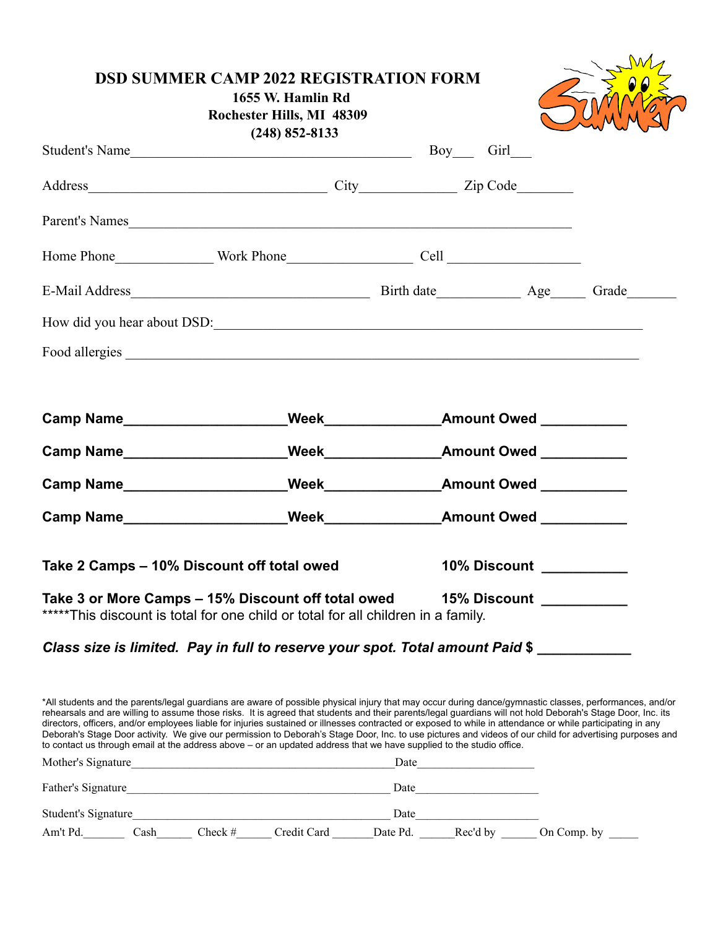| 1655 W. Hamlin Rd<br>Rochester Hills, MI 48309<br>$(248)$ 852-8133                                                                                                                                                            |                           |  |
|-------------------------------------------------------------------------------------------------------------------------------------------------------------------------------------------------------------------------------|---------------------------|--|
|                                                                                                                                                                                                                               |                           |  |
| Address City City Zip Code                                                                                                                                                                                                    |                           |  |
| Parent's Names                                                                                                                                                                                                                |                           |  |
|                                                                                                                                                                                                                               |                           |  |
|                                                                                                                                                                                                                               |                           |  |
| How did you hear about DSD:                                                                                                                                                                                                   |                           |  |
|                                                                                                                                                                                                                               |                           |  |
|                                                                                                                                                                                                                               |                           |  |
|                                                                                                                                                                                                                               |                           |  |
|                                                                                                                                                                                                                               |                           |  |
|                                                                                                                                                                                                                               |                           |  |
|                                                                                                                                                                                                                               |                           |  |
| Camp Name Energy Camp Name Camp Name Camp Name Camp Name Camp Name Camp Name Camp Name Camp Name Camp Name Camp Name Camp Name Camp Name Camp Name Camp Name Camp Name Camp Name Camp Name Camp Name Camp Name Camp Name Camp |                           |  |
| Take 2 Camps - 10% Discount off total owed                                                                                                                                                                                    | 10% Discount 10% Discount |  |

*Class size is limited. Pay in full to reserve your spot. Total amount Paid* **\$ \_\_\_\_\_\_\_\_\_\_\_\_**

\*All students and the parents/legal guardians are aware of possible physical injury that may occur during dance/gymnastic classes, performances, and/or rehearsals and are willing to assume those risks. It is agreed that students and their parents/legal guardians will not hold Deborah's Stage Door, Inc. its directors, officers, and/or employees liable for injuries sustained or illnesses contracted or exposed to while in attendance or while participating in any Deborah's Stage Door activity. We give our permission to Deborah's Stage Door, Inc. to use pictures and videos of our child for advertising purposes and to contact us through email at the address above – or an updated address that we have supplied to the studio office. Mother's Signature\_\_\_\_\_\_\_\_\_\_\_\_\_\_\_\_\_\_\_\_\_\_\_\_\_\_\_\_\_\_\_\_\_\_\_\_\_\_\_\_\_\_\_\_\_Date\_\_\_\_\_\_\_\_\_\_\_\_\_\_\_\_\_\_\_\_ Father's Signature\_\_\_\_\_\_\_\_\_\_\_\_\_\_\_\_\_\_\_\_\_\_\_\_\_\_\_\_\_\_\_\_\_\_\_\_\_\_\_\_\_\_\_\_\_ Date\_\_\_\_\_\_\_\_\_\_\_\_\_\_\_\_\_\_\_\_\_ Student's Signature\_\_\_\_\_\_\_\_\_\_\_\_\_\_\_\_\_\_\_\_\_\_\_\_\_\_\_\_\_\_\_\_\_\_\_\_\_\_\_\_\_\_\_\_ Date\_\_\_\_\_\_\_\_\_\_\_\_\_\_\_\_\_\_\_\_\_ Am't Pd. Cash Check # Credit Card Date Pd. Rec'd by On Comp. by \_\_\_\_\_\_\_\_\_\_\_\_\_\_\_\_\_